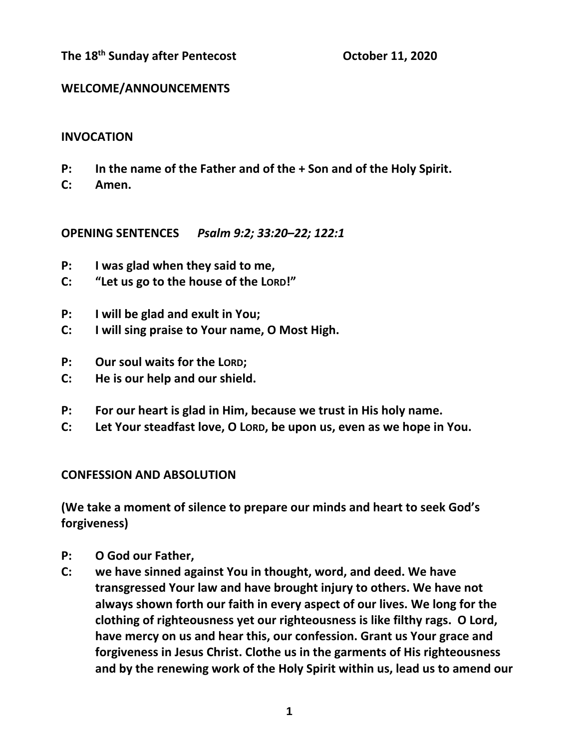# **WELCOME/ANNOUNCEMENTS**

## **INVOCATION**

- **P: In the name of the Father and of the + Son and of the Holy Spirit.**
- **C: Amen.**

**OPENING SENTENCES** *Psalm 9:2; 33:20–22; 122:1*

- **P: I was glad when they said to me,**
- **C: "Let us go to the house of the LORD!"**
- **P: I will be glad and exult in You;**
- **C: I will sing praise to Your name, O Most High.**
- **P: Our soul waits for the LORD;**
- **C: He is our help and our shield.**
- **P: For our heart is glad in Him, because we trust in His holy name.**
- **C: Let Your steadfast love, O LORD, be upon us, even as we hope in You.**

# **CONFESSION AND ABSOLUTION**

**(We take a moment of silence to prepare our minds and heart to seek God's forgiveness)**

- **P: O God our Father,**
- **C: we have sinned against You in thought, word, and deed. We have transgressed Your law and have brought injury to others. We have not always shown forth our faith in every aspect of our lives. We long for the clothing of righteousness yet our righteousness is like filthy rags. O Lord, have mercy on us and hear this, our confession. Grant us Your grace and forgiveness in Jesus Christ. Clothe us in the garments of His righteousness and by the renewing work of the Holy Spirit within us, lead us to amend our**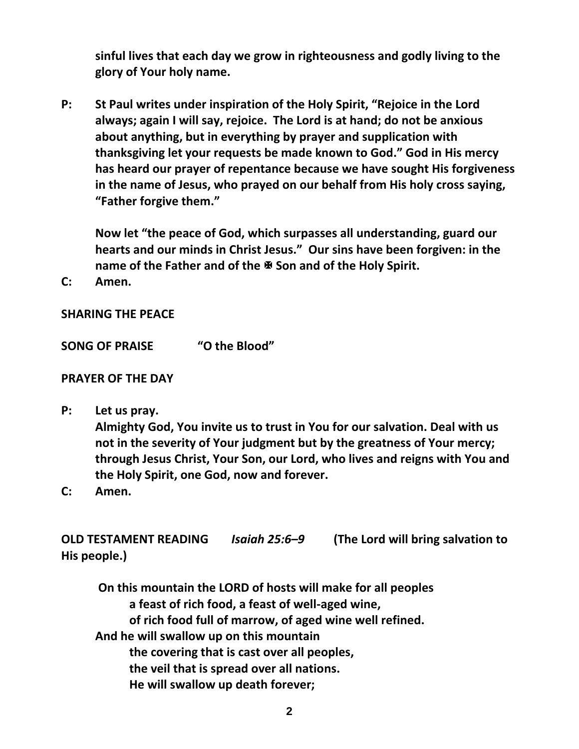**sinful lives that each day we grow in righteousness and godly living to the glory of Your holy name.**

**P: St Paul writes under inspiration of the Holy Spirit, "Rejoice in the Lord always; again I will say, rejoice. The Lord is at hand; do not be anxious about anything, but in everything by prayer and supplication with thanksgiving let your requests be made known to God." God in His mercy has heard our prayer of repentance because we have sought His forgiveness in the name of Jesus, who prayed on our behalf from His holy cross saying, "Father forgive them."** 

**Now let "the peace of God, which surpasses all understanding, guard our hearts and our minds in Christ Jesus." Our sins have been forgiven: in the name of the Father and of the Son and of the Holy Spirit.**

**C: Amen.**

**SHARING THE PEACE**

**SONG OF PRAISE "O the Blood"** 

**PRAYER OF THE DAY**

**P: Let us pray.**

**Almighty God, You invite us to trust in You for our salvation. Deal with us not in the severity of Your judgment but by the greatness of Your mercy; through Jesus Christ, Your Son, our Lord, who lives and reigns with You and the Holy Spirit, one God, now and forever.**

**C: Amen.**

**OLD TESTAMENT READING** *Isaiah 25:6–9* **(The Lord will bring salvation to His people.)**

**On this mountain the LORD of hosts will make for all peoples a feast of rich food, a feast of well-aged wine, of rich food full of marrow, of aged wine well refined. And he will swallow up on this mountain the covering that is cast over all peoples, the veil that is spread over all nations. He will swallow up death forever;**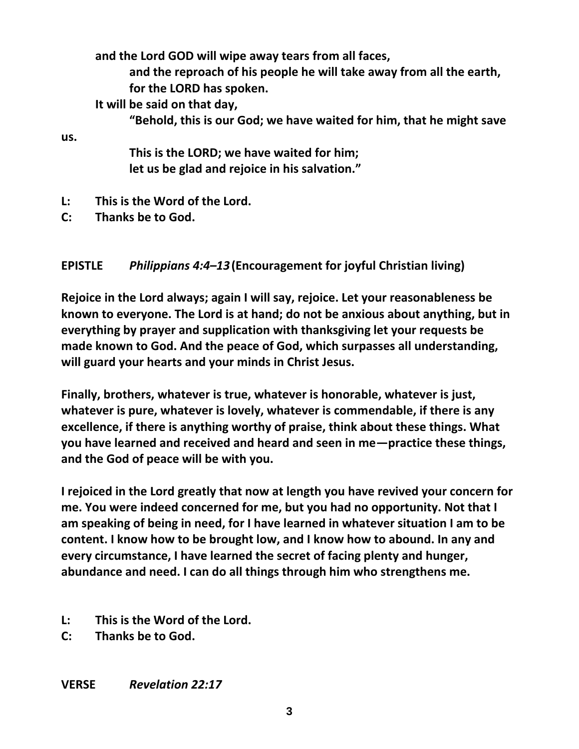**and the Lord GOD will wipe away tears from all faces, and the reproach of his people he will take away from all the earth, for the LORD has spoken.**

- **It will be said on that day,**
	- **"Behold, this is our God; we have waited for him, that he might save**

**us.**

**This is the LORD; we have waited for him; let us be glad and rejoice in his salvation."** 

- **L: This is the Word of the Lord.**
- **C: Thanks be to God.**

**EPISTLE** *Philippians 4:4–13***(Encouragement for joyful Christian living)**

**Rejoice in the Lord always; again I will say, rejoice. Let your reasonableness be known to everyone. The Lord is at hand; do not be anxious about anything, but in everything by prayer and supplication with thanksgiving let your requests be made known to God. And the peace of God, which surpasses all understanding, will guard your hearts and your minds in Christ Jesus.**

**Finally, brothers, whatever is true, whatever is honorable, whatever is just, whatever is pure, whatever is lovely, whatever is commendable, if there is any excellence, if there is anything worthy of praise, think about these things. What you have learned and received and heard and seen in me—practice these things, and the God of peace will be with you.**

**I rejoiced in the Lord greatly that now at length you have revived your concern for me. You were indeed concerned for me, but you had no opportunity. Not that I am speaking of being in need, for I have learned in whatever situation I am to be content. I know how to be brought low, and I know how to abound. In any and every circumstance, I have learned the secret of facing plenty and hunger, abundance and need. I can do all things through him who strengthens me.** 

- **L: This is the Word of the Lord.**
- **C: Thanks be to God.**

**VERSE** *Revelation 22:17*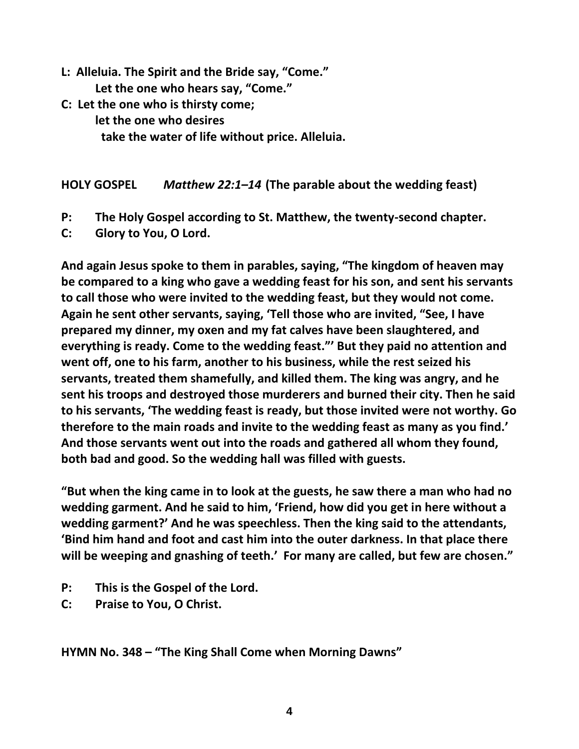- **L: Alleluia. The Spirit and the Bride say, "Come." Let the one who hears say, "Come."**
- **C: Let the one who is thirsty come;**

**let the one who desires take the water of life without price. Alleluia.**

**HOLY GOSPEL** *Matthew 22:1–14* **(The parable about the wedding feast)**

- **P: The Holy Gospel according to St. Matthew, the twenty-second chapter.**
- **C: Glory to You, O Lord.**

**And again Jesus spoke to them in parables, saying, "The kingdom of heaven may be compared to a king who gave a wedding feast for his son, and sent his servants to call those who were invited to the wedding feast, but they would not come. Again he sent other servants, saying, 'Tell those who are invited, "See, I have prepared my dinner, my oxen and my fat calves have been slaughtered, and everything is ready. Come to the wedding feast."' But they paid no attention and went off, one to his farm, another to his business, while the rest seized his servants, treated them shamefully, and killed them. The king was angry, and he sent his troops and destroyed those murderers and burned their city. Then he said to his servants, 'The wedding feast is ready, but those invited were not worthy. Go therefore to the main roads and invite to the wedding feast as many as you find.' And those servants went out into the roads and gathered all whom they found, both bad and good. So the wedding hall was filled with guests.**

**"But when the king came in to look at the guests, he saw there a man who had no wedding garment. And he said to him, 'Friend, how did you get in here without a wedding garment?' And he was speechless. Then the king said to the attendants, 'Bind him hand and foot and cast him into the outer darkness. In that place there will be weeping and gnashing of teeth.' For many are called, but few are chosen."** 

- **P: This is the Gospel of the Lord.**
- **C: Praise to You, O Christ.**

**HYMN No. 348 – "The King Shall Come when Morning Dawns"**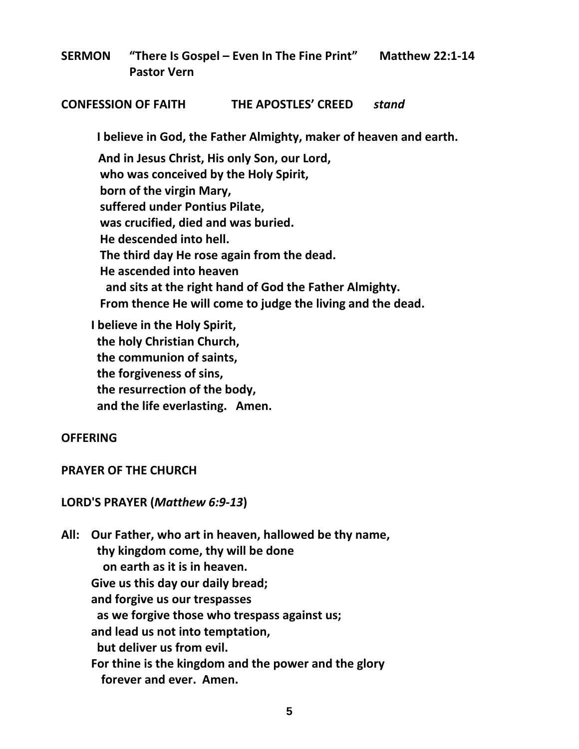**SERMON "There Is Gospel – Even In The Fine Print" Matthew 22:1-14 Pastor Vern**

#### **CONFESSION OF FAITH THE APOSTLES' CREED** *stand*

 **I believe in God, the Father Almighty, maker of heaven and earth.**

**And in Jesus Christ, His only Son, our Lord, who was conceived by the Holy Spirit, born of the virgin Mary, suffered under Pontius Pilate, was crucified, died and was buried. He descended into hell. The third day He rose again from the dead. He ascended into heaven and sits at the right hand of God the Father Almighty. From thence He will come to judge the living and the dead.**

**I believe in the Holy Spirit, the holy Christian Church, the communion of saints, the forgiveness of sins, the resurrection of the body, and the life everlasting. Amen.**

#### **OFFERING**

### **PRAYER OF THE CHURCH**

#### **LORD'S PRAYER (***Matthew 6:9-13***)**

**All: Our Father, who art in heaven, hallowed be thy name, thy kingdom come, thy will be done on earth as it is in heaven. Give us this day our daily bread; and forgive us our trespasses as we forgive those who trespass against us; and lead us not into temptation, but deliver us from evil. For thine is the kingdom and the power and the glory forever and ever. Amen.**